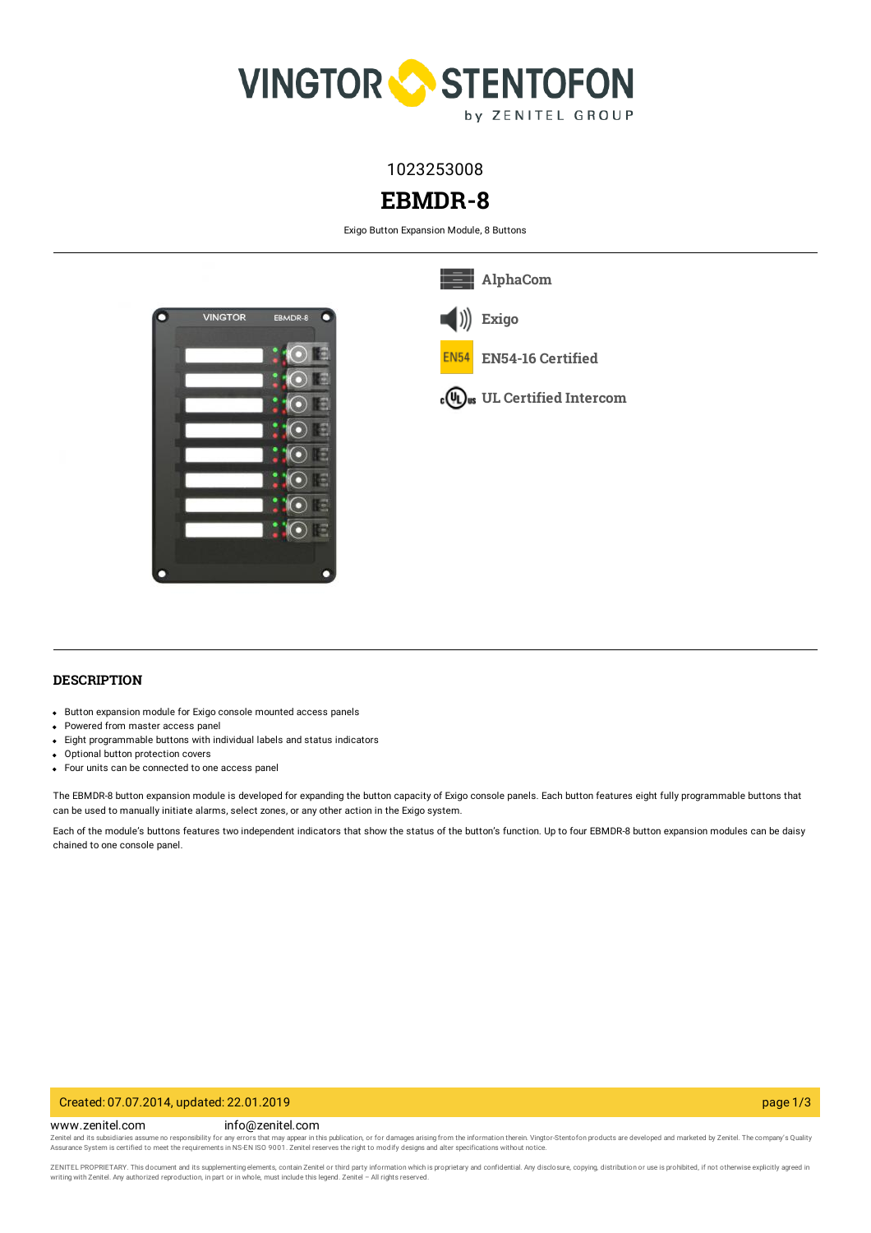

# 1023253008

# **EBMDR-8**

Exigo Button Expansion Module, 8 Buttons



**[AlphaCom](https://www.zenitel.com/technology/alphacom)**



**EN54-16 [Certified](https://www.zenitel.com/technology/compatibility/en54-16-certified)**



#### **DESCRIPTION**

- Button expansion module for Exigo console mounted access panels
- Powered from master access panel
- Eight programmable buttons with individual labels and status indicators
- Optional button protection covers
- Four units can be connected to one access panel

The EBMDR-8 button expansion module is developed for expanding the button capacity of Exigo console panels. Each button features eight fully programmable buttons that can be used to manually initiate alarms, select zones, or any other action in the Exigo system.

Each of the module's buttons features two independent indicators that show the status of the button's function. Up to four EBMDR-8 button expansion modules can be daisy chained to one console panel.

#### Created: 07.07.2014, updated: 22.01.2019 page 1/3

www.zenitel.com info@zenitel.com

Zenitel and its subsidiaries assume no responsibility for any errors that may appear in this publication, or for damages arising from the information therein. Vingtor-Stentofon products are developed and marketed by Zenite

ZENITEL PROPRIETARY. This document and its supplementing elements, contain Zenitel or third party information which is proprietary and confidential. Any disclosure, copying, distribution or use is prohibited, if not otherw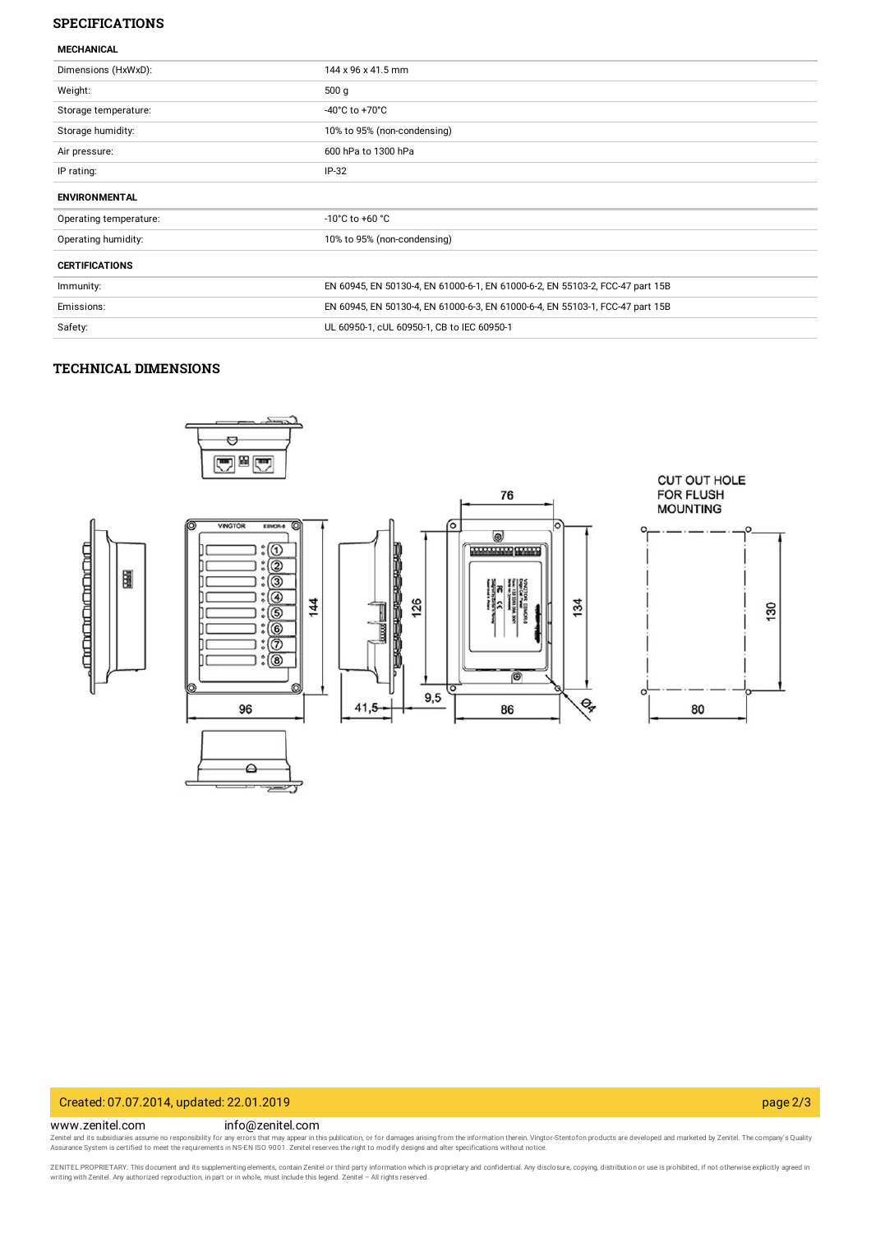#### **SPECIFICATIONS**

| <b>MECHANICAL</b> |  |
|-------------------|--|

| Dimensions (HxWxD):    | 144 x 96 x 41.5 mm                                                            |
|------------------------|-------------------------------------------------------------------------------|
| Weight:                | 500q                                                                          |
| Storage temperature:   | -40 $^{\circ}$ C to +70 $^{\circ}$ C                                          |
| Storage humidity:      | 10% to 95% (non-condensing)                                                   |
| Air pressure:          | 600 hPa to 1300 hPa                                                           |
| IP rating:             | $IP-32$                                                                       |
| <b>ENVIRONMENTAL</b>   |                                                                               |
| Operating temperature: | $-10^{\circ}$ C to $+60^{\circ}$ C                                            |
| Operating humidity:    | 10% to 95% (non-condensing)                                                   |
| <b>CERTIFICATIONS</b>  |                                                                               |
| Immunity:              | EN 60945, EN 50130-4, EN 61000-6-1, EN 61000-6-2, EN 55103-2, FCC-47 part 15B |
| Emissions:             | EN 60945, EN 50130-4, EN 61000-6-3, EN 61000-6-4, EN 55103-1, FCC-47 part 15B |
| Safety:                | UL 60950-1, cUL 60950-1, CB to IEC 60950-1                                    |

### **TECHNICAL DIMENSIONS**



#### Created: 07.07.2014, updated: 22.01.2019 page 2/3

#### www.zenitel.com info@zenitel.com

Zenitel and its subsidiaries assume no responsibility for any errors that may appear in this publication, or for damages arising from the information therein. Vingtor-Stentofon products are developed and marketed by Zenite

ZENITEL PROPRIETARY. This document and its supplementing elements, contain Zenitel or third party information which is proprietary and confidential. Any disclosure, copying, distribution or use is prohibited, if not otherw